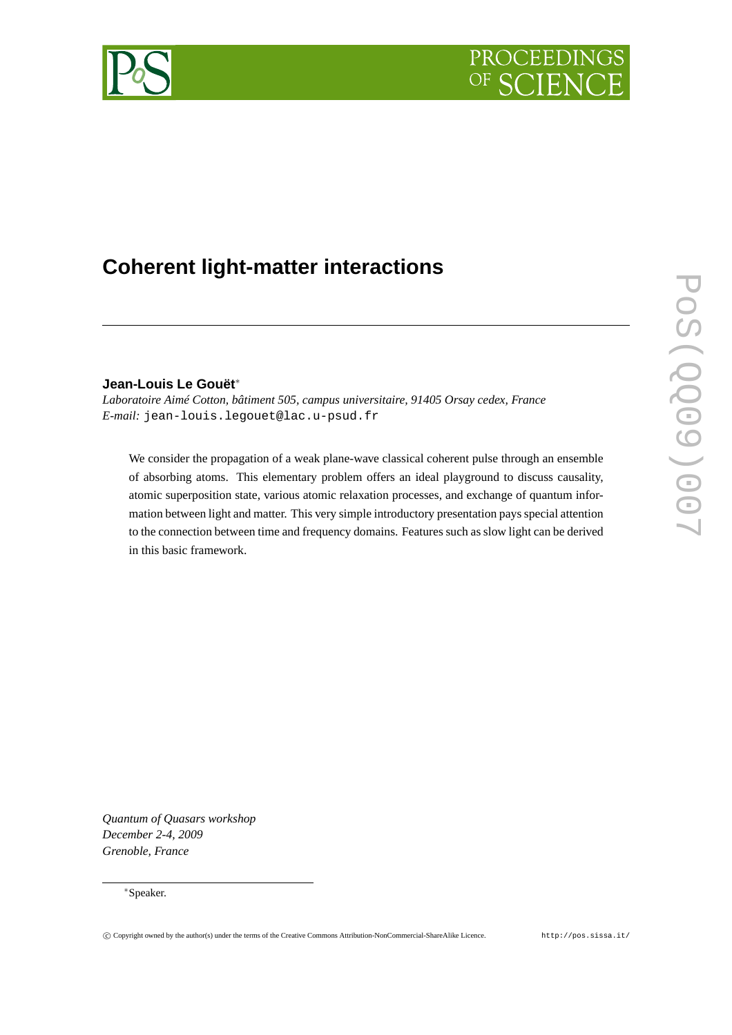



# **Coherent light-matter interactions**

## **Jean-Louis Le Gouët**<sup>∗</sup>

*Laboratoire Aimé Cotton, bâtiment 505, campus universitaire, 91405 Orsay cedex, France E-mail:* jean-louis.legouet@lac.u-psud.fr

We consider the propagation of a weak plane-wave classical coherent pulse through an ensemble of absorbing atoms. This elementary problem offers an ideal playground to discuss causality, atomic superposition state, various atomic relaxation processes, and exchange of quantum information between light and matter. This very simple introductory presentation pays special attention to the connection between time and frequency domains. Features such as slow light can be derived in this basic framework.

*Quantum of Quasars workshop December 2-4, 2009 Grenoble, France*

#### <sup>∗</sup>Speaker.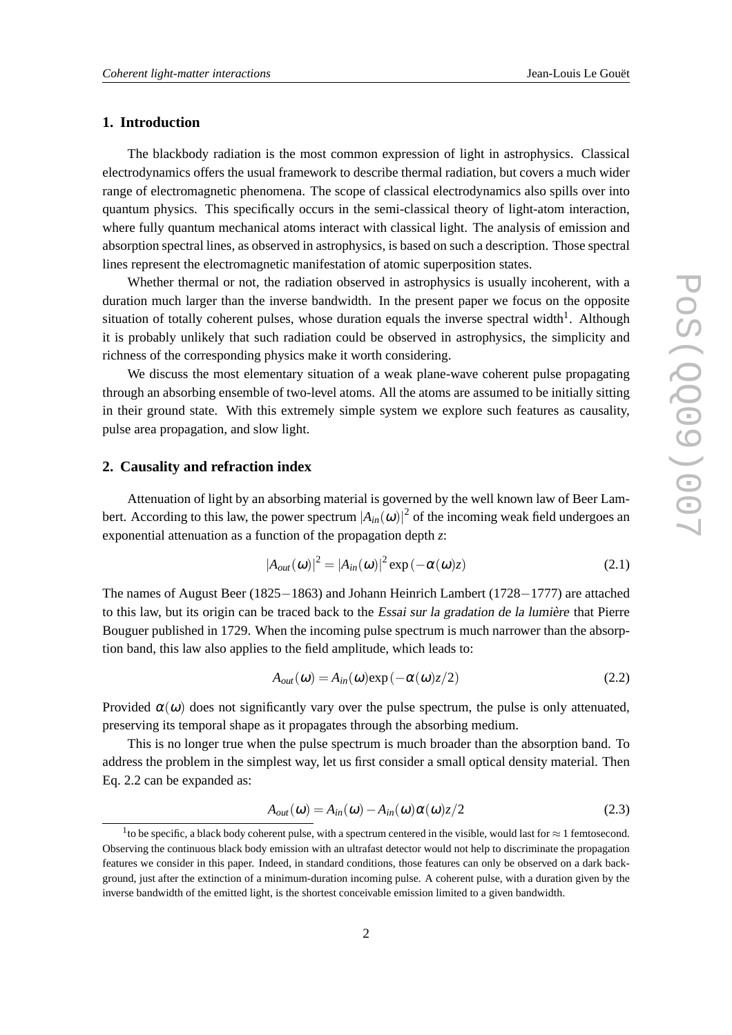## **1. Introduction**

The blackbody radiation is the most common expression of light in astrophysics. Classical electrodynamics offers the usual framework to describe thermal radiation, but covers a much wider range of electromagnetic phenomena. The scope of classical electrodynamics also spills over into quantum physics. This specifically occurs in the semi-classical theory of light-atom interaction, where fully quantum mechanical atoms interact with classical light. The analysis of emission and absorption spectral lines, as observed in astrophysics, is based on such a description. Those spectral lines represent the electromagnetic manifestation of atomic superposition states.

Whether thermal or not, the radiation observed in astrophysics is usually incoherent, with a duration much larger than the inverse bandwidth. In the present paper we focus on the opposite situation of totally coherent pulses, whose duration equals the inverse spectral width<sup>1</sup>. Although it is probably unlikely that such radiation could be observed in astrophysics, the simplicity and richness of the corresponding physics make it worth considering.

We discuss the most elementary situation of a weak plane-wave coherent pulse propagating through an absorbing ensemble of two-level atoms. All the atoms are assumed to be initially sitting in their ground state. With this extremely simple system we explore such features as causality, pulse area propagation, and slow light.

#### **2. Causality and refraction index**

Attenuation of light by an absorbing material is governed by the well known law of Beer Lambert. According to this law, the power spectrum  $|A_{in}(\omega)|^2$  of the incoming weak field undergoes an exponential attenuation as a function of the propagation depth *z*:

$$
|A_{out}(\omega)|^2 = |A_{in}(\omega)|^2 \exp(-\alpha(\omega)z)
$$
 (2.1)

The names of August Beer (1825−1863) and Johann Heinrich Lambert (1728−1777) are attached to this law, but its origin can be traced back to the Essai sur la gradation de la lumière that Pierre Bouguer published in 1729. When the incoming pulse spectrum is much narrower than the absorption band, this law also applies to the field amplitude, which leads to:

$$
A_{out}(\omega) = A_{in}(\omega) \exp(-\alpha(\omega) z/2)
$$
\n(2.2)

Provided  $\alpha(\omega)$  does not significantly vary over the pulse spectrum, the pulse is only attenuated, preserving its temporal shape as it propagates through the absorbing medium.

This is no longer true when the pulse spectrum is much broader than the absorption band. To address the problem in the simplest way, let us first consider a small optical density material. Then Eq. 2.2 can be expanded as:

$$
A_{out}(\omega) = A_{in}(\omega) - A_{in}(\omega)\alpha(\omega)z/2
$$
\n(2.3)

<sup>&</sup>lt;sup>1</sup> to be specific, a black body coherent pulse, with a spectrum centered in the visible, would last for  $\approx$  1 femtosecond. Observing the continuous black body emission with an ultrafast detector would not help to discriminate the propagation features we consider in this paper. Indeed, in standard conditions, those features can only be observed on a dark background, just after the extinction of a minimum-duration incoming pulse. A coherent pulse, with a duration given by the inverse bandwidth of the emitted light, is the shortest conceivable emission limited to a given bandwidth.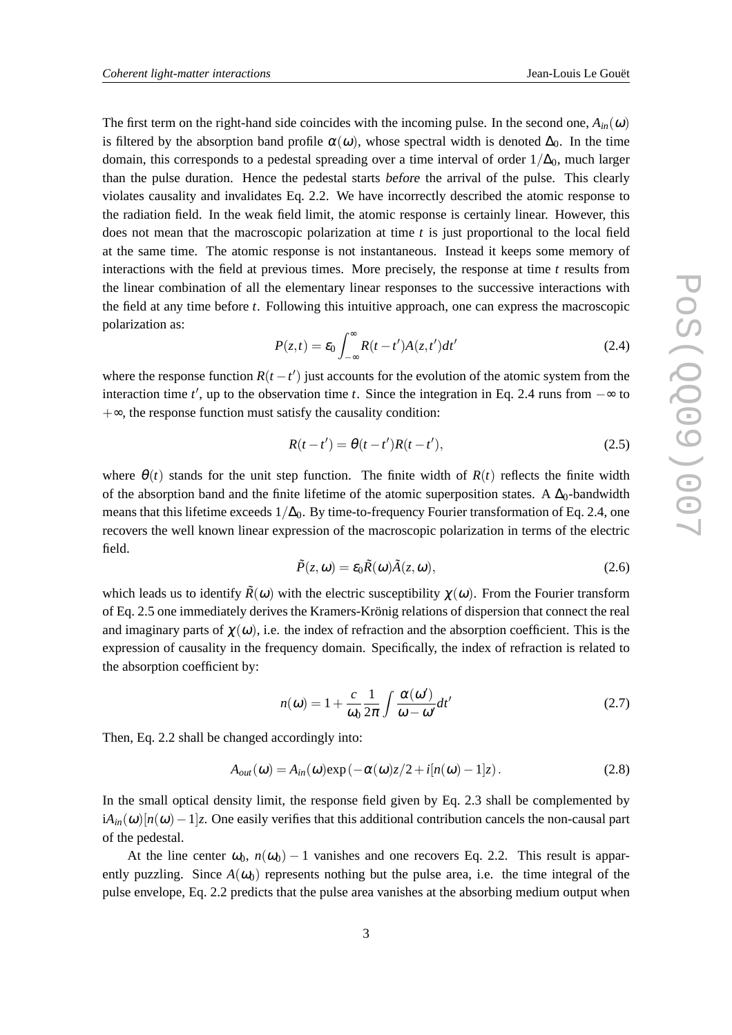The first term on the right-hand side coincides with the incoming pulse. In the second one,  $A_{in}(\omega)$ is filtered by the absorption band profile  $\alpha(\omega)$ , whose spectral width is denoted  $\Delta_0$ . In the time domain, this corresponds to a pedestal spreading over a time interval of order  $1/\Delta_0$ , much larger than the pulse duration. Hence the pedestal starts before the arrival of the pulse. This clearly violates causality and invalidates Eq. 2.2. We have incorrectly described the atomic response to the radiation field. In the weak field limit, the atomic response is certainly linear. However, this does not mean that the macroscopic polarization at time *t* is just proportional to the local field at the same time. The atomic response is not instantaneous. Instead it keeps some memory of interactions with the field at previous times. More precisely, the response at time *t* results from the linear combination of all the elementary linear responses to the successive interactions with the field at any time before *t*. Following this intuitive approach, one can express the macroscopic polarization as:

$$
P(z,t) = \varepsilon_0 \int_{-\infty}^{\infty} R(t-t')A(z,t')dt'
$$
\n(2.4)

where the response function  $R(t - t')$  just accounts for the evolution of the atomic system from the interaction time  $t'$ , up to the observation time  $t$ . Since the integration in Eq. 2.4 runs from  $-\infty$  to +∞, the response function must satisfy the causality condition:

$$
R(t - t') = \theta(t - t')R(t - t'),
$$
\n(2.5)

where  $\theta(t)$  stands for the unit step function. The finite width of  $R(t)$  reflects the finite width of the absorption band and the finite lifetime of the atomic superposition states. A  $\Delta_0$ -bandwidth means that this lifetime exceeds  $1/\Delta_0$ . By time-to-frequency Fourier transformation of Eq. 2.4, one recovers the well known linear expression of the macroscopic polarization in terms of the electric field.

$$
\tilde{P}(z,\omega) = \varepsilon_0 \tilde{R}(\omega) \tilde{A}(z,\omega),\tag{2.6}
$$

which leads us to identify  $\tilde{R}(\omega)$  with the electric susceptibility  $\chi(\omega)$ . From the Fourier transform of Eq. 2.5 one immediately derives the Kramers-Krönig relations of dispersion that connect the real and imaginary parts of  $\gamma(\omega)$ , i.e. the index of refraction and the absorption coefficient. This is the expression of causality in the frequency domain. Specifically, the index of refraction is related to the absorption coefficient by:

$$
n(\omega) = 1 + \frac{c}{\omega_0} \frac{1}{2\pi} \int \frac{\alpha(\omega')}{\omega - \omega'} dt'
$$
 (2.7)

Then, Eq. 2.2 shall be changed accordingly into:

$$
A_{out}(\omega) = A_{in}(\omega) \exp(-\alpha(\omega)z/2 + i[n(\omega) - 1]z).
$$
 (2.8)

In the small optical density limit, the response field given by Eq. 2.3 shall be complemented by  $iA_{in}(\omega)[n(\omega)-1]$ *z*. One easily verifies that this additional contribution cancels the non-causal part of the pedestal.

At the line center  $\omega_0$ ,  $n(\omega_0) - 1$  vanishes and one recovers Eq. 2.2. This result is apparently puzzling. Since  $A(\omega_0)$  represents nothing but the pulse area, i.e. the time integral of the pulse envelope, Eq. 2.2 predicts that the pulse area vanishes at the absorbing medium output when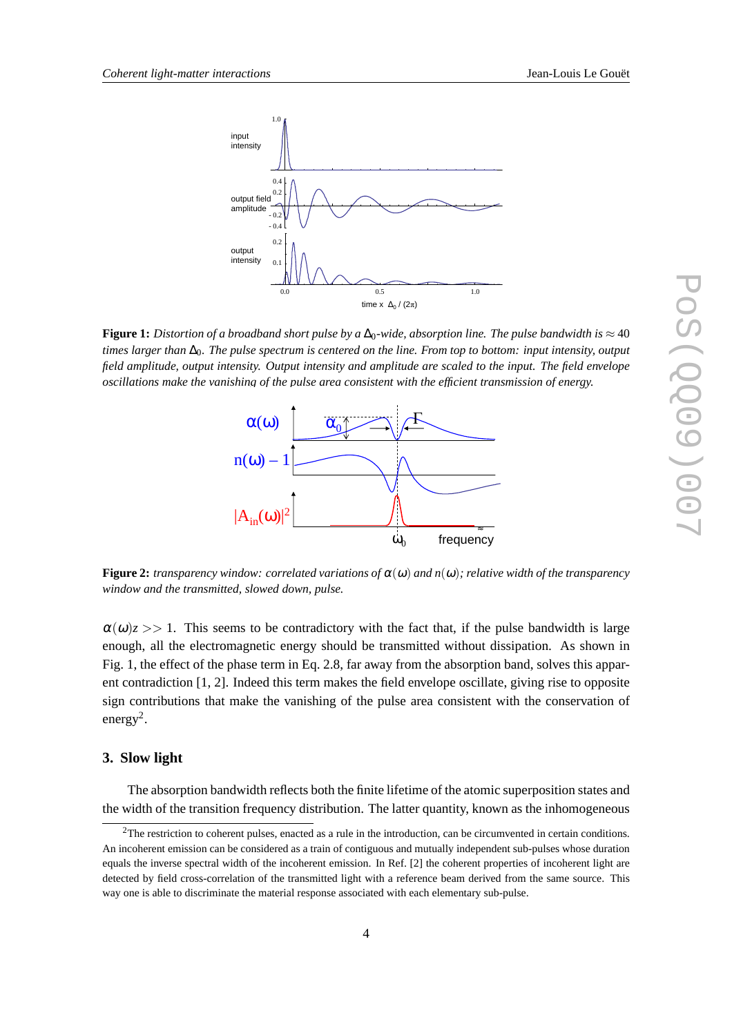

**Figure 1:** *Distortion of a broadband short pulse by a*  $\Delta_0$ -wide, absorption line. The pulse bandwidth is  $\approx$  40 *times larger than* ∆0*. The pulse spectrum is centered on the line. From top to bottom: input intensity, output field amplitude, output intensity. Output intensity and amplitude are scaled to the input. The field envelope oscillations make the vanishing of the pulse area consistent with the efficient transmission of energy.*



**Figure 2:** *transparency window: correlated variations of*  $\alpha(\omega)$  *and*  $n(\omega)$ ; *relative width of the transparency window and the transmitted, slowed down, pulse.*

 $\alpha(\omega)$ <sub>z</sub> >> 1. This seems to be contradictory with the fact that, if the pulse bandwidth is large enough, all the electromagnetic energy should be transmitted without dissipation. As shown in Fig. 1, the effect of the phase term in Eq. 2.8, far away from the absorption band, solves this apparent contradiction [1, 2]. Indeed this term makes the field envelope oscillate, giving rise to opposite sign contributions that make the vanishing of the pulse area consistent with the conservation of energy<sup>2</sup>.

## **3. Slow light**

The absorption bandwidth reflects both the finite lifetime of the atomic superposition states and the width of the transition frequency distribution. The latter quantity, known as the inhomogeneous

<sup>&</sup>lt;sup>2</sup>The restriction to coherent pulses, enacted as a rule in the introduction, can be circumvented in certain conditions. An incoherent emission can be considered as a train of contiguous and mutually independent sub-pulses whose duration equals the inverse spectral width of the incoherent emission. In Ref. [2] the coherent properties of incoherent light are detected by field cross-correlation of the transmitted light with a reference beam derived from the same source. This way one is able to discriminate the material response associated with each elementary sub-pulse.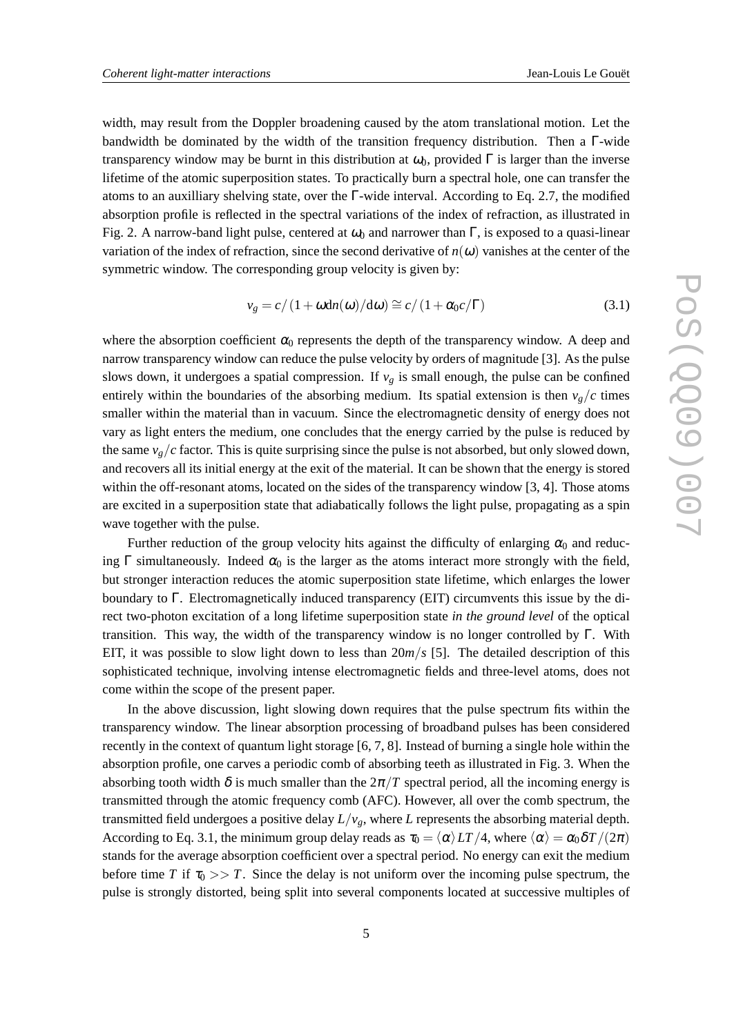width, may result from the Doppler broadening caused by the atom translational motion. Let the bandwidth be dominated by the width of the transition frequency distribution. Then a Γ-wide transparency window may be burnt in this distribution at  $\omega_0$ , provided Γ is larger than the inverse lifetime of the atomic superposition states. To practically burn a spectral hole, one can transfer the atoms to an auxilliary shelving state, over the Γ-wide interval. According to Eq. 2.7, the modified absorption profile is reflected in the spectral variations of the index of refraction, as illustrated in Fig. 2. A narrow-band light pulse, centered at  $\omega_0$  and narrower than Γ, is exposed to a quasi-linear variation of the index of refraction, since the second derivative of  $n(\omega)$  vanishes at the center of the symmetric window. The corresponding group velocity is given by:

$$
v_g = c/(1 + \omega \mathrm{d}n(\omega)/\mathrm{d}\omega) \cong c/(1 + \alpha_0 c/\Gamma) \tag{3.1}
$$

where the absorption coefficient  $\alpha_0$  represents the depth of the transparency window. A deep and narrow transparency window can reduce the pulse velocity by orders of magnitude [3]. As the pulse slows down, it undergoes a spatial compression. If  $v<sub>g</sub>$  is small enough, the pulse can be confined entirely within the boundaries of the absorbing medium. Its spatial extension is then  $v_g/c$  times smaller within the material than in vacuum. Since the electromagnetic density of energy does not vary as light enters the medium, one concludes that the energy carried by the pulse is reduced by the same  $v_g/c$  factor. This is quite surprising since the pulse is not absorbed, but only slowed down, and recovers all its initial energy at the exit of the material. It can be shown that the energy is stored within the off-resonant atoms, located on the sides of the transparency window [3, 4]. Those atoms are excited in a superposition state that adiabatically follows the light pulse, propagating as a spin wave together with the pulse.

Further reduction of the group velocity hits against the difficulty of enlarging  $\alpha_0$  and reducing Γ simultaneously. Indeed  $\alpha_0$  is the larger as the atoms interact more strongly with the field, but stronger interaction reduces the atomic superposition state lifetime, which enlarges the lower boundary to Γ. Electromagnetically induced transparency (EIT) circumvents this issue by the direct two-photon excitation of a long lifetime superposition state *in the ground level* of the optical transition. This way, the width of the transparency window is no longer controlled by Γ. With EIT, it was possible to slow light down to less than 20*m*/*s* [5]. The detailed description of this sophisticated technique, involving intense electromagnetic fields and three-level atoms, does not come within the scope of the present paper.

In the above discussion, light slowing down requires that the pulse spectrum fits within the transparency window. The linear absorption processing of broadband pulses has been considered recently in the context of quantum light storage [6, 7, 8]. Instead of burning a single hole within the absorption profile, one carves a periodic comb of absorbing teeth as illustrated in Fig. 3. When the absorbing tooth width  $\delta$  is much smaller than the  $2\pi/T$  spectral period, all the incoming energy is transmitted through the atomic frequency comb (AFC). However, all over the comb spectrum, the transmitted field undergoes a positive delay  $L/v_g$ , where *L* represents the absorbing material depth. According to Eq. 3.1, the minimum group delay reads as  $\tau_0 = \langle \alpha \rangle LT/4$ , where  $\langle \alpha \rangle = \alpha_0 \delta T/(2\pi)$ stands for the average absorption coefficient over a spectral period. No energy can exit the medium before time *T* if  $\tau_0 >> T$ . Since the delay is not uniform over the incoming pulse spectrum, the pulse is strongly distorted, being split into several components located at successive multiples of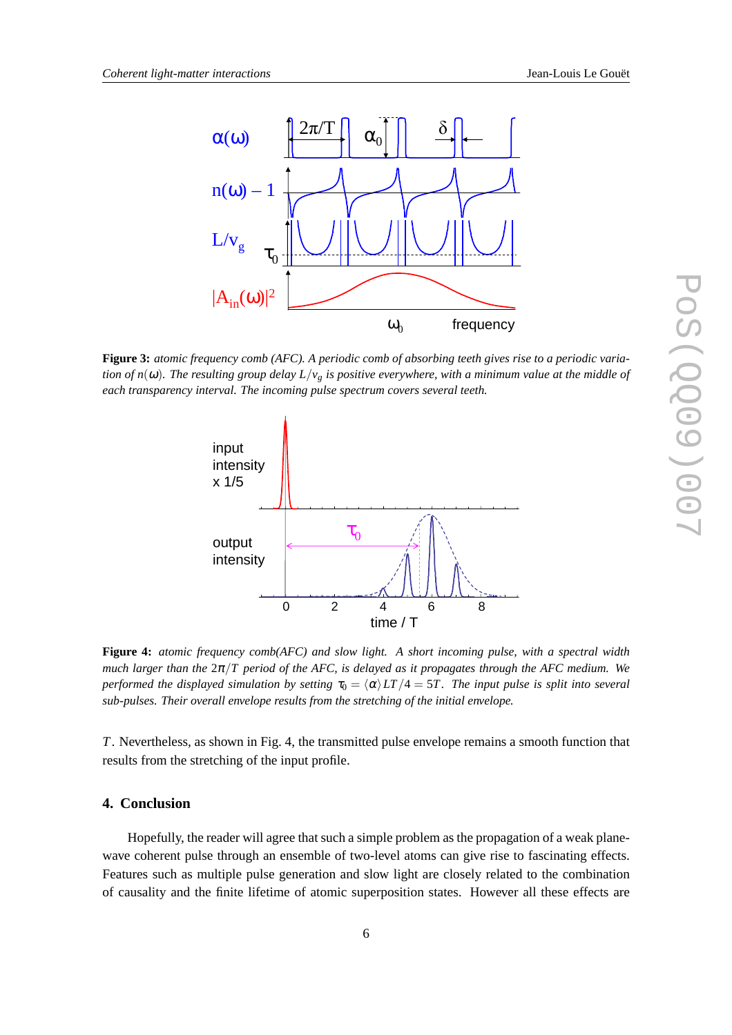

**Figure 3:** *atomic frequency comb (AFC). A periodic comb of absorbing teeth gives rise to a periodic variation of n*( $\omega$ ). The resulting group delay  $L/v_g$  is positive everywhere, with a minimum value at the middle of *each transparency interval. The incoming pulse spectrum covers several teeth.*



**Figure 4:** *atomic frequency comb(AFC) and slow light. A short incoming pulse, with a spectral width much larger than the*  $2\pi/T$  *period of the AFC, is delayed as it propagates through the AFC medium. We performed the displayed simulation by setting*  $\tau_0 = \langle \alpha \rangle LT/4 = 5T$ . The input pulse is split into several *sub-pulses. Their overall envelope results from the stretching of the initial envelope.*

*T*. Nevertheless, as shown in Fig. 4, the transmitted pulse envelope remains a smooth function that results from the stretching of the input profile.

### **4. Conclusion**

Hopefully, the reader will agree that such a simple problem as the propagation of a weak planewave coherent pulse through an ensemble of two-level atoms can give rise to fascinating effects. Features such as multiple pulse generation and slow light are closely related to the combination of causality and the finite lifetime of atomic superposition states. However all these effects are